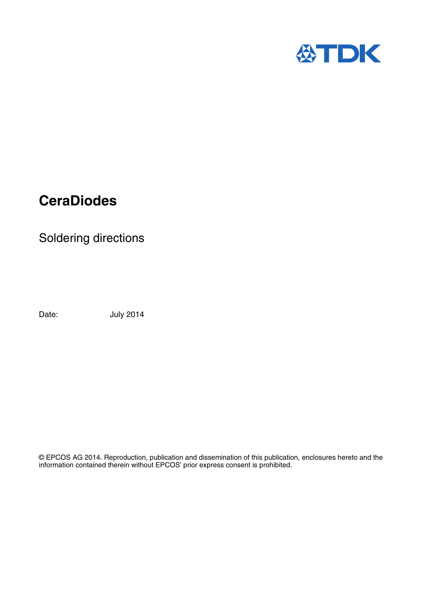

# **CeraDiodes**

Soldering directions

Date: **July 2014** 

© EPCOS AG 2014. Reproduction, publication and dissemination of this publication, enclosures hereto and the information contained therein without EPCOS' prior express consent is prohibited.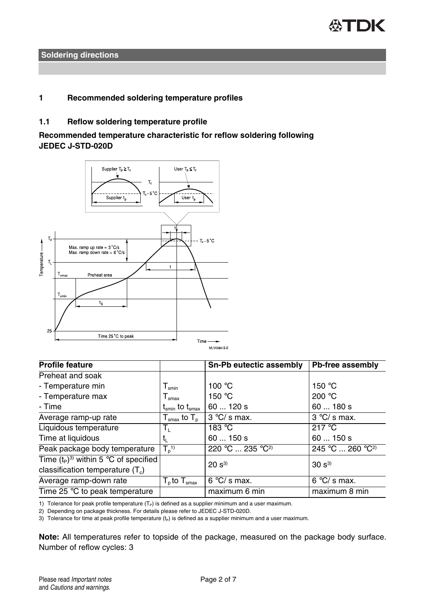

## **1 Recommended soldering temperature profiles**

## **1.1 Reflow soldering temperature profile**

**Recommended temperature characteristic for reflow soldering following JEDEC J-STD-020D**



| <b>Profile feature</b>                  |                                                              | Sn-Pb eutectic assembly      | Pb-free assembly             |
|-----------------------------------------|--------------------------------------------------------------|------------------------------|------------------------------|
| Preheat and soak                        |                                                              |                              |                              |
| - Temperature min                       | ${\mathsf T}_{\textsf{smin}}$                                | 100 °C                       | 150 $\degree$ C              |
| - Temperature max                       | $T_{\text{smax}}$                                            | 150 $\degree$ C              | 200 $°C$                     |
| - Time                                  | $\mathsf{t}_{\mathsf{smin}}$ to $\mathsf{t}_{\mathsf{smax}}$ | 60  120 s                    | 60180s                       |
| Average ramp-up rate                    | ${\sf T}_{\sf smax}$ to ${\sf T}_{\sf n}$ .                  | $3°C/s$ max.                 | $3 °C/s$ max.                |
| Liquidous temperature                   | Tı.                                                          | 183 $°C$                     | 217 $\degree$ C              |
| Time at liquidous                       | τ,                                                           | 60  150 s                    | 60150s                       |
| Peak package body temperature           | $T_p^{(1)}$                                                  | 220 °C  235 °C <sup>2)</sup> | 245 °C  260 °C <sup>2)</sup> |
| Time $(t_P)^3$ within 5 °C of specified |                                                              | $20 s^{3}$                   | $30 s^{3}$                   |
| classification temperature $(T_c)$      |                                                              |                              |                              |
| Average ramp-down rate                  | $\overline{T}_{\text{p}}$ to $T_{\text{smax}}$               | $6°C/s$ max.                 | $6 °C/s$ max.                |
| Time 25 $\degree$ C to peak temperature |                                                              | maximum 6 min                | maximum 8 min                |

1) Tolerance for peak profile temperature  $(T_P)$  is defined as a supplier minimum and a user maximum.

2) Depending on package thickness. For details please refer to JEDEC J-STD-020D.

3) Tolerance for time at peak profile temperature  $(t_P)$  is defined as a supplier minimum and a user maximum.

**Note:** All temperatures refer to topside of the package, measured on the package body surface. Number of reflow cycles: 3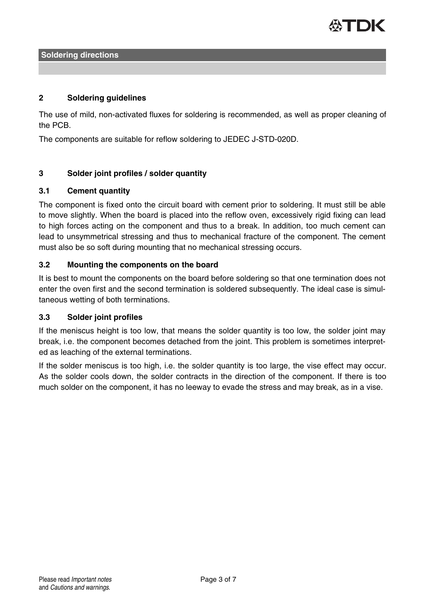

## **2 Soldering guidelines**

The use of mild, non-activated fluxes for soldering is recommended, as well as proper cleaning of the PCB.

The components are suitable for reflow soldering to JEDEC J-STD-020D.

## **3 Solder joint profiles / solder quantity**

#### **3.1 Cement quantity**

The component is fixed onto the circuit board with cement prior to soldering. It must still be able to move slightly. When the board is placed into the reflow oven, excessively rigid fixing can lead to high forces acting on the component and thus to a break. In addition, too much cement can lead to unsymmetrical stressing and thus to mechanical fracture of the component. The cement must also be so soft during mounting that no mechanical stressing occurs.

#### **3.2 Mounting the components on the board**

It is best to mount the components on the board before soldering so that one termination does not enter the oven first and the second termination is soldered subsequently. The ideal case is simultaneous wetting of both terminations.

## **3.3 Solder joint profiles**

If the meniscus height is too low, that means the solder quantity is too low, the solder joint may break, i.e. the component becomes detached from the joint. This problem is sometimes interpreted as leaching of the external terminations.

If the solder meniscus is too high, i.e. the solder quantity is too large, the vise effect may occur. As the solder cools down, the solder contracts in the direction of the component. If there is too much solder on the component, it has no leeway to evade the stress and may break, as in a vise.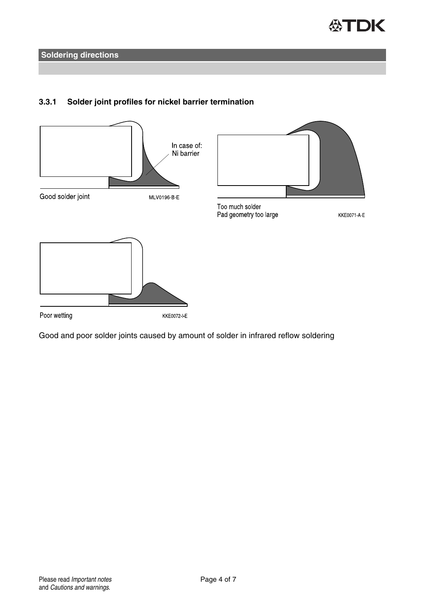



## **3.3.1 Solder joint profiles for nickel barrier termination**

Good and poor solder joints caused by amount of solder in infrared reflow soldering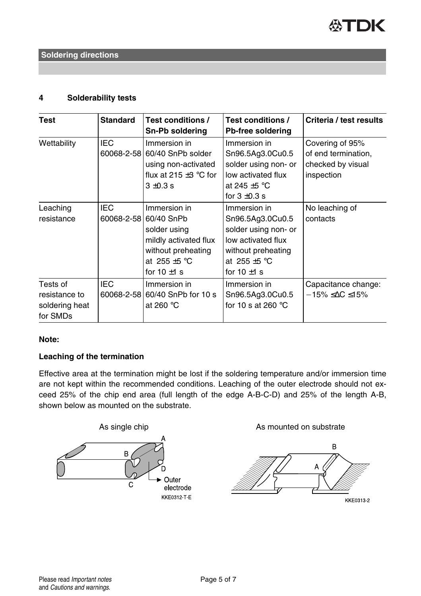

## **4 Solderability tests**

| Test                                                    | <b>Standard</b>          | Test conditions /<br>Sn-Pb soldering                                                                                                          | Test conditions /<br>Pb-free soldering                                                                                                        | Criteria / test results                                                   |
|---------------------------------------------------------|--------------------------|-----------------------------------------------------------------------------------------------------------------------------------------------|-----------------------------------------------------------------------------------------------------------------------------------------------|---------------------------------------------------------------------------|
| Wettability                                             | <b>IEC</b>               | Immersion in<br>60068-2-58 60/40 SnPb solder<br>using non-activated<br>flux at 215 $\pm$ 3 °C for<br>$3 + 0.3$ s                              | Immersion in<br>Sn96.5Ag3.0Cu0.5<br>solder using non- or<br>low activated flux<br>at 245 $\pm$ 5 °C<br>for $3 \pm 0.3$ s                      | Covering of 95%<br>of end termination,<br>checked by visual<br>inspection |
| Leaching<br>resistance                                  | <b>IEC</b>               | Immersion in<br>60068-2-58 60/40 SnPb<br>solder using<br>mildly activated flux<br>without preheating<br>at 255 $\pm$ 5 °C<br>for $10 \pm 1$ s | Immersion in<br>Sn96.5Ag3.0Cu0.5<br>solder using non- or<br>low activated flux<br>without preheating<br>at 255 $\pm$ 5 °C<br>for $10 \pm 1$ s | No leaching of<br>contacts                                                |
| Tests of<br>resistance to<br>soldering heat<br>for SMDs | <b>IEC</b><br>60068-2-58 | Immersion in<br>60/40 SnPb for 10 s<br>at 260 $°C$                                                                                            | Immersion in<br>Sn96.5Ag3.0Cu0.5<br>for 10 s at 260 $\degree$ C                                                                               | Capacitance change:<br>$-15\% \leq \Delta C \leq 15\%$                    |

## **Note:**

## **Leaching of the termination**

Effective area at the termination might be lost if the soldering temperature and/or immersion time are not kept within the recommended conditions. Leaching of the outer electrode should not exceed 25% of the chip end area (full length of the edge A-B-C-D) and 25% of the length A-B, shown below as mounted on the substrate.

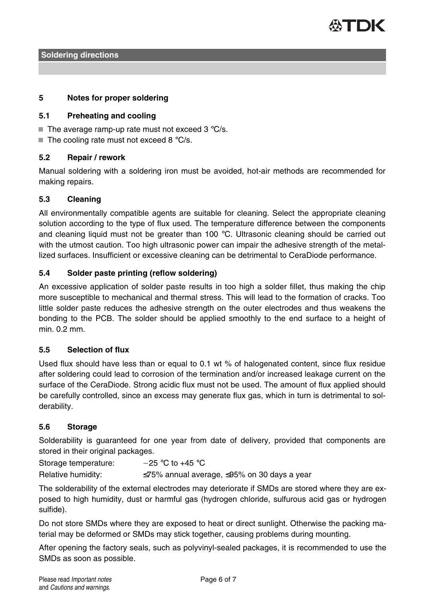

## **5 Notes for proper soldering**

## **5.1 Preheating and cooling**

- $\blacksquare$  The average ramp-up rate must not exceed 3 °C/s.
- $\blacksquare$  The cooling rate must not exceed 8 °C/s.

## **5.2 Repair / rework**

Manual soldering with a soldering iron must be avoided, hot-air methods are recommended for making repairs.

## **5.3 Cleaning**

All environmentally compatible agents are suitable for cleaning. Select the appropriate cleaning solution according to the type of flux used. The temperature difference between the components and cleaning liquid must not be greater than 100  $^{\circ}$ C. Ultrasonic cleaning should be carried out with the utmost caution. Too high ultrasonic power can impair the adhesive strength of the metallized surfaces. Insufficient or excessive cleaning can be detrimental to CeraDiode performance.

## **5.4 Solder paste printing (reflow soldering)**

An excessive application of solder paste results in too high a solder fillet, thus making the chip more susceptible to mechanical and thermal stress. This will lead to the formation of cracks. Too little solder paste reduces the adhesive strength on the outer electrodes and thus weakens the bonding to the PCB. The solder should be applied smoothly to the end surface to a height of min. 0.2 mm.

## **5.5 Selection of flux**

Used flux should have less than or equal to 0.1 wt % of halogenated content, since flux residue after soldering could lead to corrosion of the termination and/or increased leakage current on the surface of the CeraDiode. Strong acidic flux must not be used. The amount of flux applied should be carefully controlled, since an excess may generate flux gas, which in turn is detrimental to solderability.

## **5.6 Storage**

Solderability is guaranteed for one year from date of delivery, provided that components are stored in their original packages.

Storage temperature:  $-25 °C$  to +45 °C

Relative humidity: ≤75% annual average, ≤95% on 30 days a year

The solderability of the external electrodes may deteriorate if SMDs are stored where they are exposed to high humidity, dust or harmful gas (hydrogen chloride, sulfurous acid gas or hydrogen sulfide).

Do not store SMDs where they are exposed to heat or direct sunlight. Otherwise the packing material may be deformed or SMDs may stick together, causing problems during mounting.

After opening the factory seals, such as polyvinyl-sealed packages, it is recommended to use the SMDs as soon as possible.